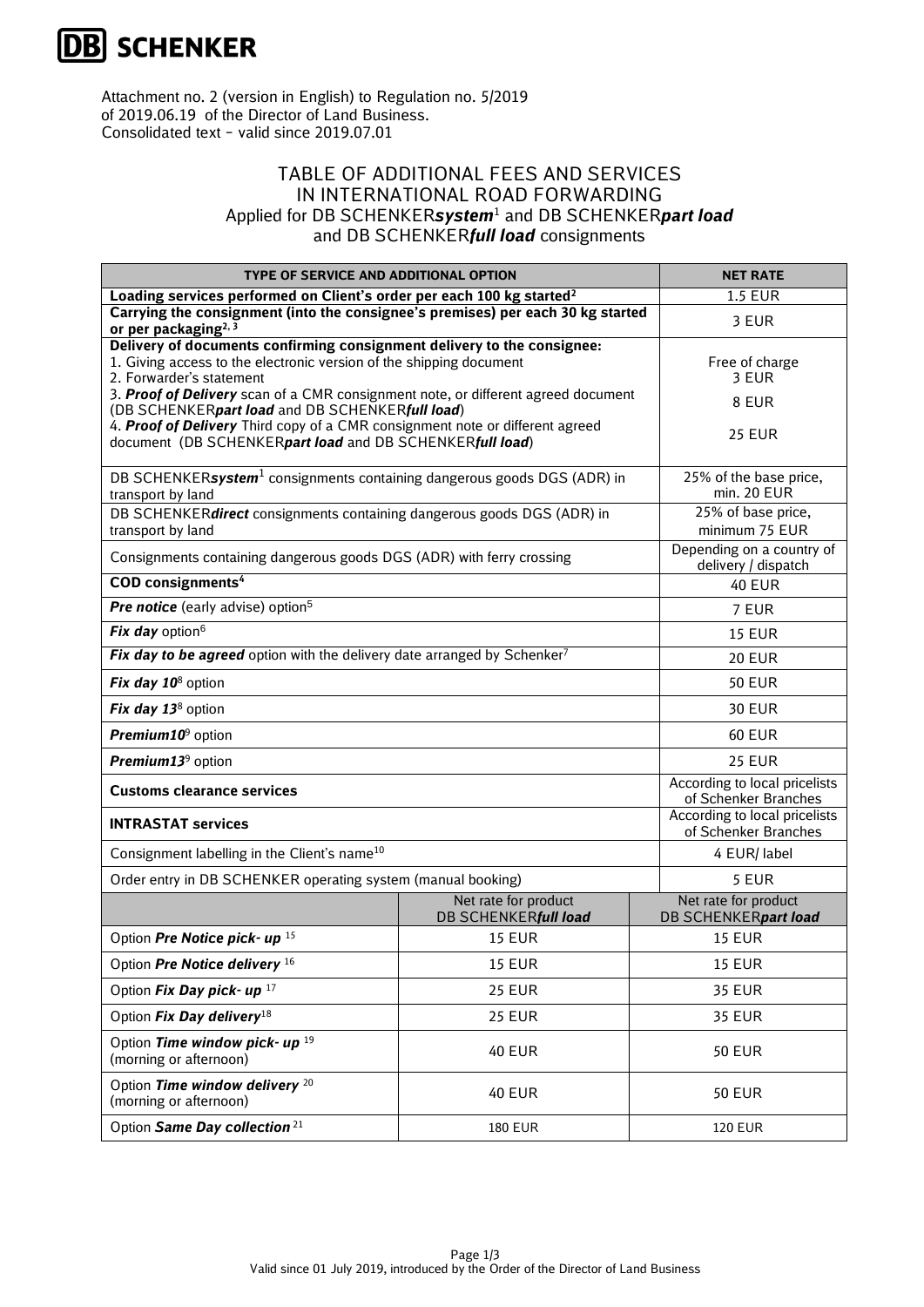

Attachment no. 2 (version in English) to Regulation no. 5/2019 of 2019.06.19 of the Director of Land Business. Consolidated text – valid since 2019.07.01

## TABLE OF ADDITIONAL FEES AND SERVICES IN INTERNATIONAL ROAD FORWARDING Applied for DB SCHENKER*system*<sup>1</sup> and DB SCHENKER*part load* and DB SCHENKER*full load* consignments

| TYPE OF SERVICE AND ADDITIONAL OPTION                                                                                                     |                                              | <b>NET RATE</b>                                       |
|-------------------------------------------------------------------------------------------------------------------------------------------|----------------------------------------------|-------------------------------------------------------|
| Loading services performed on Client's order per each 100 kg started <sup>2</sup>                                                         |                                              | <b>1.5 EUR</b>                                        |
| Carrying the consignment (into the consignee's premises) per each 30 kg started<br>or per packaging <sup>2, 3</sup>                       |                                              | 3 EUR                                                 |
| Delivery of documents confirming consignment delivery to the consignee:                                                                   |                                              |                                                       |
| 1. Giving access to the electronic version of the shipping document<br>2. Forwarder's statement                                           | Free of charge<br>3 EUR                      |                                                       |
| 3. Proof of Delivery scan of a CMR consignment note, or different agreed document                                                         |                                              |                                                       |
| (DB SCHENKERpart load and DB SCHENKERfull load)                                                                                           | 8 EUR                                        |                                                       |
| 4. Proof of Delivery Third copy of a CMR consignment note or different agreed<br>document (DB SCHENKERpart load and DB SCHENKERfull load) |                                              | <b>25 EUR</b>                                         |
|                                                                                                                                           |                                              |                                                       |
| DB SCHENKERsystem <sup>1</sup> consignments containing dangerous goods DGS (ADR) in                                                       | 25% of the base price,                       |                                                       |
| transport by land                                                                                                                         | min. 20 EUR<br>25% of base price,            |                                                       |
| DB SCHENKERdirect consignments containing dangerous goods DGS (ADR) in<br>transport by land                                               | minimum 75 EUR                               |                                                       |
|                                                                                                                                           |                                              | Depending on a country of                             |
| Consignments containing dangerous goods DGS (ADR) with ferry crossing                                                                     | delivery / dispatch                          |                                                       |
| <b>COD</b> consignments <sup>4</sup>                                                                                                      | <b>40 EUR</b>                                |                                                       |
| <b>Pre notice</b> (early advise) option <sup>5</sup>                                                                                      |                                              | 7 EUR                                                 |
| Fix day option <sup>6</sup>                                                                                                               | <b>15 EUR</b>                                |                                                       |
| Fix day to be agreed option with the delivery date arranged by Schenker <sup>7</sup>                                                      |                                              | <b>20 EUR</b>                                         |
| Fix day 10 <sup>8</sup> option                                                                                                            |                                              | <b>50 EUR</b>                                         |
| Fix day 13 <sup>8</sup> option                                                                                                            |                                              | <b>30 EUR</b>                                         |
| Premium10 <sup>9</sup> option                                                                                                             |                                              | <b>60 EUR</b>                                         |
| Premium13 <sup>9</sup> option                                                                                                             |                                              | <b>25 EUR</b>                                         |
| <b>Customs clearance services</b>                                                                                                         |                                              | According to local pricelists<br>of Schenker Branches |
| <b>INTRASTAT services</b>                                                                                                                 |                                              | According to local pricelists<br>of Schenker Branches |
| Consignment labelling in the Client's name <sup>10</sup>                                                                                  |                                              | 4 EUR/ label                                          |
| Order entry in DB SCHENKER operating system (manual booking)                                                                              |                                              | 5 EUR                                                 |
|                                                                                                                                           | Net rate for product<br>DB SCHENKERfull load | Net rate for product<br>DB SCHENKERpart load          |
| Option Pre Notice pick- up 15                                                                                                             | <b>15 EUR</b>                                | <b>15 EUR</b>                                         |
| Option Pre Notice delivery 16                                                                                                             | <b>15 EUR</b>                                | <b>15 EUR</b>                                         |
| Option Fix Day pick- up 17                                                                                                                | <b>25 EUR</b>                                | <b>35 EUR</b>                                         |
| Option Fix Day delivery <sup>18</sup>                                                                                                     | <b>25 EUR</b>                                | <b>35 EUR</b>                                         |
| Option Time window pick- up 19<br>(morning or afternoon)                                                                                  | <b>40 EUR</b>                                | <b>50 EUR</b>                                         |
| Option Time window delivery <sup>20</sup><br>(morning or afternoon)                                                                       | <b>40 EUR</b>                                | <b>50 EUR</b>                                         |
| Option Same Day collection <sup>21</sup>                                                                                                  | <b>180 EUR</b>                               | <b>120 EUR</b>                                        |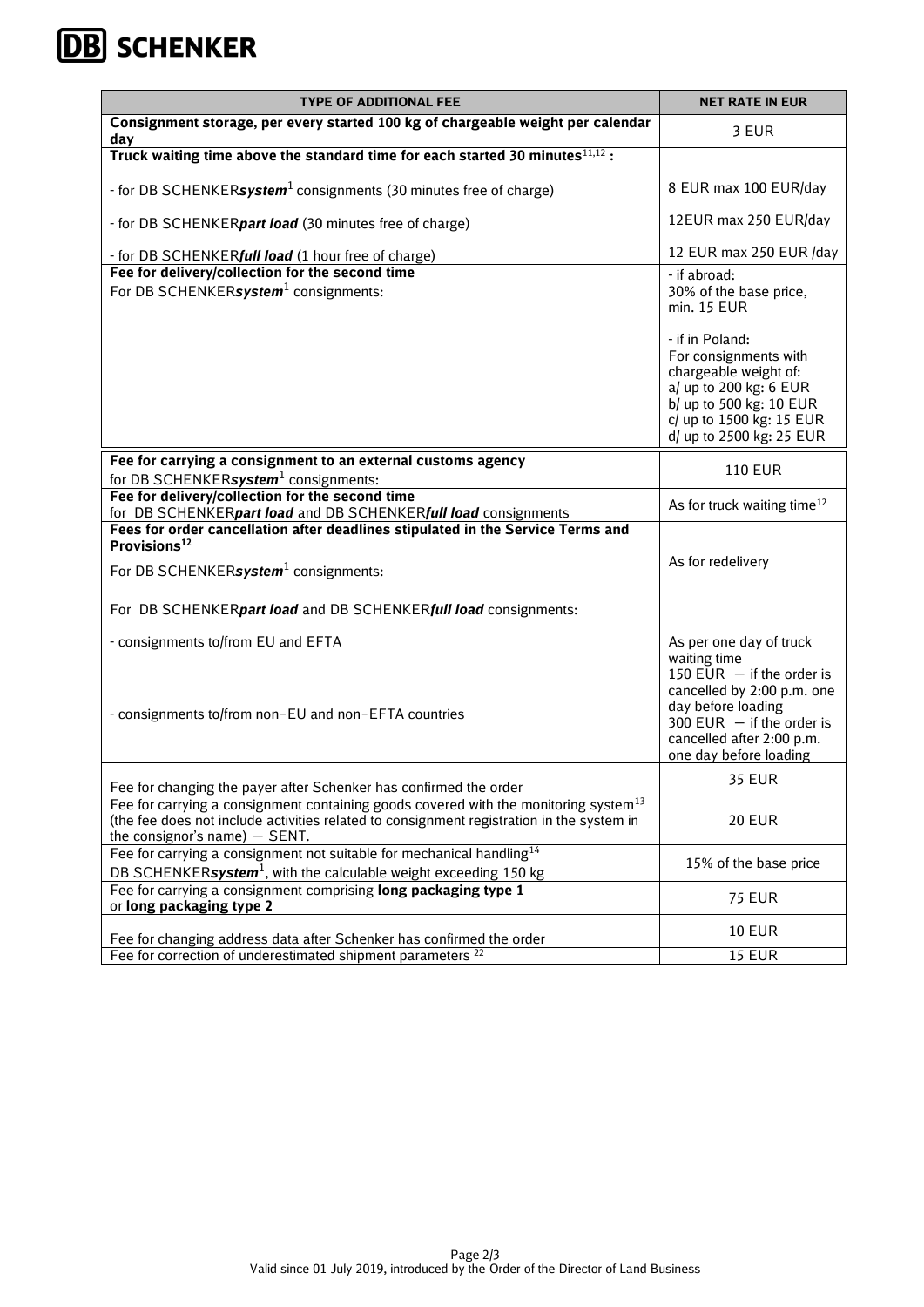## **DB** SCHENKER

| <b>TYPE OF ADDITIONAL FEE</b>                                                                                                                                                                                           | <b>NET RATE IN EUR</b>                                                                                                                                                                                                                  |
|-------------------------------------------------------------------------------------------------------------------------------------------------------------------------------------------------------------------------|-----------------------------------------------------------------------------------------------------------------------------------------------------------------------------------------------------------------------------------------|
| Consignment storage, per every started 100 kg of chargeable weight per calendar<br>day                                                                                                                                  | 3 EUR                                                                                                                                                                                                                                   |
| Truck waiting time above the standard time for each started 30 minutes <sup>11,12</sup> :                                                                                                                               |                                                                                                                                                                                                                                         |
| - for DB SCHENKERsystem <sup>1</sup> consignments (30 minutes free of charge)                                                                                                                                           | 8 EUR max 100 EUR/day                                                                                                                                                                                                                   |
| - for DB SCHENKER <i>part load</i> (30 minutes free of charge)                                                                                                                                                          | 12EUR max 250 EUR/day                                                                                                                                                                                                                   |
| - for DB SCHENKER <i>full load</i> (1 hour free of charge)                                                                                                                                                              | 12 EUR max 250 EUR /day                                                                                                                                                                                                                 |
| Fee for delivery/collection for the second time<br>For DB SCHENKERsystem <sup>1</sup> consignments:                                                                                                                     | - if abroad:<br>30% of the base price,<br>min. 15 EUR<br>- if in Poland:<br>For consignments with<br>chargeable weight of:<br>a/ up to 200 kg: 6 EUR<br>b/ up to 500 kg: 10 EUR<br>c/ up to 1500 kg: 15 EUR<br>d/ up to 2500 kg: 25 EUR |
| Fee for carrying a consignment to an external customs agency<br>for DB SCHENKERsystem <sup>1</sup> consignments:                                                                                                        | <b>110 EUR</b>                                                                                                                                                                                                                          |
| Fee for delivery/collection for the second time<br>for DB SCHENKERpart load and DB SCHENKERfull load consignments                                                                                                       | As for truck waiting time <sup>12</sup>                                                                                                                                                                                                 |
| Fees for order cancellation after deadlines stipulated in the Service Terms and<br>Provisions <sup>12</sup>                                                                                                             |                                                                                                                                                                                                                                         |
| For DB SCHENKERsystem <sup>1</sup> consignments:                                                                                                                                                                        | As for redelivery                                                                                                                                                                                                                       |
| For DB SCHENKERpart load and DB SCHENKERfull load consignments:                                                                                                                                                         |                                                                                                                                                                                                                                         |
| - consignments to/from EU and EFTA<br>- consignments to/from non-EU and non-EFTA countries                                                                                                                              | As per one day of truck<br>waiting time<br>150 EUR $-$ if the order is<br>cancelled by 2:00 p.m. one<br>day before loading<br>300 EUR $-$ if the order is<br>cancelled after 2:00 p.m.<br>one day before loading                        |
| Fee for changing the payer after Schenker has confirmed the order                                                                                                                                                       | <b>35 EUR</b>                                                                                                                                                                                                                           |
| Fee for carrying a consignment containing goods covered with the monitoring system $13$<br>(the fee does not include activities related to consignment registration in the system in<br>the consignor's name) $-$ SENT. | <b>20 EUR</b>                                                                                                                                                                                                                           |
| Fee for carrying a consignment not suitable for mechanical handling <sup>14</sup><br>DB SCHENKERsystem <sup>1</sup> , with the calculable weight exceeding 150 kg                                                       | 15% of the base price                                                                                                                                                                                                                   |
| Fee for carrying a consignment comprising long packaging type 1<br>or long packaging type 2                                                                                                                             | <b>75 EUR</b>                                                                                                                                                                                                                           |
| Fee for changing address data after Schenker has confirmed the order                                                                                                                                                    | <b>10 EUR</b>                                                                                                                                                                                                                           |
| Fee for correction of underestimated shipment parameters <sup>22</sup>                                                                                                                                                  | <b>15 EUR</b>                                                                                                                                                                                                                           |